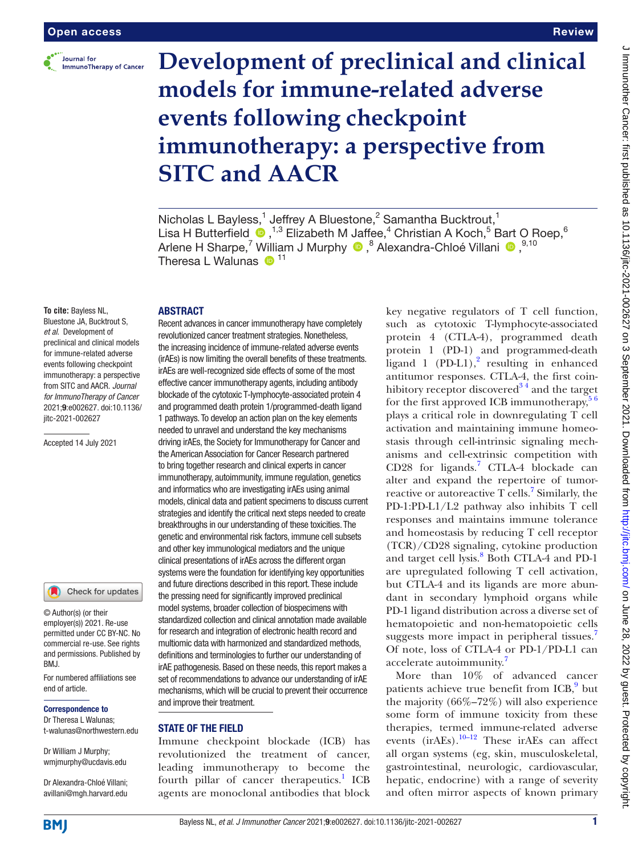

#### Review

# **Development of preclinical and clinical models for immune-related adverse events following checkpoint immunotherapy: a perspective from SITC and AACR**

Nicholas L Bayless,<sup>1</sup> Jeffrey A Bluestone,<sup>2</sup> Samantha Bucktrout,<sup>1</sup> Lisa H Butterfield  $\bullet$ , <sup>1,3</sup> Elizabeth M Jaffee,<sup>4</sup> Christian A Koch,<sup>5</sup> Bart O Roep,<sup>6</sup> ArleneH Sharpe,<sup>7</sup> William J Murphy <sup>®</sup>,<sup>8</sup> Alexandra-Chloé Villani ®,<sup>9,10</sup> Theresa L Walunas  $\mathbf{D}^{11}$ 

#### ABSTRACT

**To cite:** Bayless NL, Bluestone JA, Bucktrout S, *et al*. Development of preclinical and clinical models for immune-related adverse events following checkpoint immunotherapy: a perspective from SITC and AACR. *Journal for ImmunoTherapy of Cancer* 2021;9:e002627. doi:10.1136/ jitc-2021-002627

Accepted 14 July 2021

#### Check for updates

© Author(s) (or their employer(s)) 2021. Re-use permitted under CC BY-NC. No commercial re-use. See rights and permissions. Published by BMJ.

For numbered affiliations see end of article.

#### Correspondence to

Dr Theresa L Walunas; t-walunas@northwestern.edu

Dr William J Murphy; wmjmurphy@ucdavis.edu

Dr Alexandra-Chloé Villani; avillani@mgh.harvard.edu

Recent advances in cancer immunotherapy have completely revolutionized cancer treatment strategies. Nonetheless, the increasing incidence of immune-related adverse events (irAEs) is now limiting the overall benefits of these treatments. irAEs are well-recognized side effects of some of the most effective cancer immunotherapy agents, including antibody blockade of the cytotoxic T-lymphocyte-associated protein 4 and programmed death protein 1/programmed-death ligand 1 pathways. To develop an action plan on the key elements needed to unravel and understand the key mechanisms driving irAEs, the Society for Immunotherapy for Cancer and the American Association for Cancer Research partnered to bring together research and clinical experts in cancer immunotherapy, autoimmunity, immune regulation, genetics and informatics who are investigating irAEs using animal models, clinical data and patient specimens to discuss current strategies and identify the critical next steps needed to create breakthroughs in our understanding of these toxicities. The genetic and environmental risk factors, immune cell subsets and other key immunological mediators and the unique clinical presentations of irAEs across the different organ systems were the foundation for identifying key opportunities and future directions described in this report. These include the pressing need for significantly improved preclinical model systems, broader collection of biospecimens with standardized collection and clinical annotation made available for research and integration of electronic health record and multiomic data with harmonized and standardized methods, definitions and terminologies to further our understanding of irAE pathogenesis. Based on these needs, this report makes a set of recommendations to advance our understanding of irAE mechanisms, which will be crucial to prevent their occurrence and improve their treatment.

#### STATE OF THE FIELD

Immune checkpoint blockade (ICB) has revolutionized the treatment of cancer, leading immunotherapy to become the fourth pillar of cancer therapeutics.<sup>[1](#page-9-0)</sup> ICB agents are monoclonal antibodies that block

key negative regulators of T cell function, such as cytotoxic T-lymphocyte-associated protein 4 (CTLA-4), programmed death protein 1 (PD-1) and programmed-death ligand  $1$  (PD-L1),<sup>[2](#page-9-1)</sup> resulting in enhanced antitumor responses. CTLA-4, the first coinhibitory receptor discovered<sup>34</sup> and the target for the first approved ICB immunotherapy,  $56$ plays a critical role in downregulating T cell activation and maintaining immune homeostasis through cell-intrinsic signaling mechanisms and cell-extrinsic competition with CD28 for ligands.[7](#page-9-4) CTLA-4 blockade can alter and expand the repertoire of tumor-reactive or autoreactive T cells.<sup>[7](#page-9-4)</sup> Similarly, the PD-1:PD-L1/L2 pathway also inhibits T cell responses and maintains immune tolerance and homeostasis by reducing T cell receptor (TCR)/CD28 signaling, cytokine production and target cell lysis.<sup>8</sup> Both CTLA-4 and PD-1 are upregulated following T cell activation, but CTLA-4 and its ligands are more abundant in secondary lymphoid organs while PD-1 ligand distribution across a diverse set of hematopoietic and non-hematopoietic cells suggests more impact in peripheral tissues.<sup>7</sup> Of note, loss of CTLA-4 or PD-1/PD-L1 can accelerate autoimmunity.<sup>[7](#page-9-4)</sup>

More than 10% of advanced cancer patients achieve true benefit from ICB,<sup>[9](#page-9-6)</sup> but the majority (66%–72%) will also experience some form of immune toxicity from these therapies, termed immune-related adverse events (ir $AEs$ ).<sup>10–12</sup> These ir $AEs$  can affect all organ systems (eg, skin, musculoskeletal, gastrointestinal, neurologic, cardiovascular, hepatic, endocrine) with a range of severity and often mirror aspects of known primary

**BMI**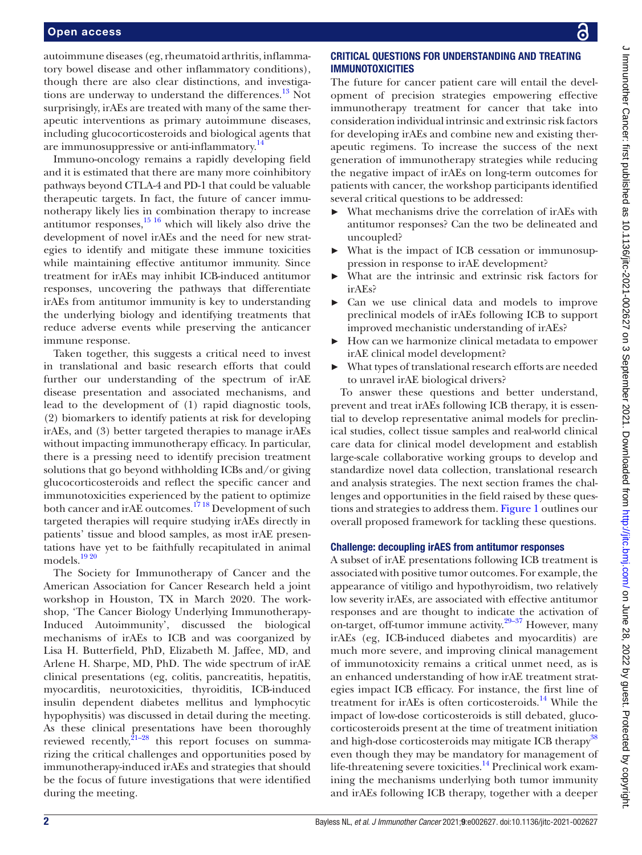#### Open access

autoimmune diseases (eg, rheumatoid arthritis, inflammatory bowel disease and other inflammatory conditions), though there are also clear distinctions, and investigations are underway to understand the differences.<sup>13</sup> Not surprisingly, irAEs are treated with many of the same therapeutic interventions as primary autoimmune diseases, including glucocorticosteroids and biological agents that are immunosuppressive or anti-inflammatory.<sup>[14](#page-9-9)</sup>

Immuno-oncology remains a rapidly developing field and it is estimated that there are many more coinhibitory pathways beyond CTLA-4 and PD-1 that could be valuable therapeutic targets. In fact, the future of cancer immunotherapy likely lies in combination therapy to increase antitumor responses, $\frac{15 \times 16}{16}$  which will likely also drive the development of novel irAEs and the need for new strategies to identify and mitigate these immune toxicities while maintaining effective antitumor immunity. Since treatment for irAEs may inhibit ICB-induced antitumor responses, uncovering the pathways that differentiate irAEs from antitumor immunity is key to understanding the underlying biology and identifying treatments that reduce adverse events while preserving the anticancer immune response.

Taken together, this suggests a critical need to invest in translational and basic research efforts that could further our understanding of the spectrum of irAE disease presentation and associated mechanisms, and lead to the development of (1) rapid diagnostic tools, (2) biomarkers to identify patients at risk for developing irAEs, and (3) better targeted therapies to manage irAEs without impacting immunotherapy efficacy. In particular, there is a pressing need to identify precision treatment solutions that go beyond withholding ICBs and/or giving glucocorticosteroids and reflect the specific cancer and immunotoxicities experienced by the patient to optimize both cancer and irAE outcomes.<sup>1718</sup> Development of such targeted therapies will require studying irAEs directly in patients' tissue and blood samples, as most irAE presentations have yet to be faithfully recapitulated in animal models.<sup>[19 20](#page-9-12)</sup>

The Society for Immunotherapy of Cancer and the American Association for Cancer Research held a joint workshop in Houston, TX in March 2020. The workshop, 'The Cancer Biology Underlying Immunotherapy-Induced Autoimmunity', discussed the biological mechanisms of irAEs to ICB and was coorganized by Lisa H. Butterfield, PhD, Elizabeth M. Jaffee, MD, and Arlene H. Sharpe, MD, PhD. The wide spectrum of irAE clinical presentations (eg, colitis, pancreatitis, hepatitis, myocarditis, neurotoxicities, thyroiditis, ICB-induced insulin dependent diabetes mellitus and lymphocytic hypophysitis) was discussed in detail during the meeting. As these clinical presentations have been thoroughly reviewed recently, $21-28$  this report focuses on summarizing the critical challenges and opportunities posed by immunotherapy-induced irAEs and strategies that should be the focus of future investigations that were identified during the meeting.

### CRITICAL QUESTIONS FOR UNDERSTANDING AND TREATING IMMUNOTOXICITIES

The future for cancer patient care will entail the development of precision strategies empowering effective immunotherapy treatment for cancer that take into consideration individual intrinsic and extrinsic risk factors for developing irAEs and combine new and existing therapeutic regimens. To increase the success of the next generation of immunotherapy strategies while reducing the negative impact of irAEs on long-term outcomes for patients with cancer, the workshop participants identified several critical questions to be addressed:

- ► What mechanisms drive the correlation of irAEs with antitumor responses? Can the two be delineated and uncoupled?
- ► What is the impact of ICB cessation or immunosuppression in response to irAE development?
- What are the intrinsic and extrinsic risk factors for irAEs?
- ► Can we use clinical data and models to improve preclinical models of irAEs following ICB to support improved mechanistic understanding of irAEs?
- ► How can we harmonize clinical metadata to empower irAE clinical model development?
- ► What types of translational research efforts are needed to unravel irAE biological drivers?

To answer these questions and better understand, prevent and treat irAEs following ICB therapy, it is essential to develop representative animal models for preclinical studies, collect tissue samples and real-world clinical care data for clinical model development and establish large-scale collaborative working groups to develop and standardize novel data collection, translational research and analysis strategies. The next section frames the challenges and opportunities in the field raised by these questions and strategies to address them. [Figure](#page-2-0) 1 outlines our overall proposed framework for tackling these questions.

#### Challenge: decoupling irAES from antitumor responses

A subset of irAE presentations following ICB treatment is associated with positive tumor outcomes. For example, the appearance of vitiligo and hypothyroidism, two relatively low severity irAEs, are associated with effective antitumor responses and are thought to indicate the activation of on-target, off-tumor immune activity.<sup>29-37</sup> However, many irAEs (eg, ICB-induced diabetes and myocarditis) are much more severe, and improving clinical management of immunotoxicity remains a critical unmet need, as is an enhanced understanding of how irAE treatment strategies impact ICB efficacy. For instance, the first line of treatment for ir $AEs$  is often corticosteroids.<sup>[14](#page-9-9)</sup> While the impact of low-dose corticosteroids is still debated, glucocorticosteroids present at the time of treatment initiation and high-dose corticosteroids may mitigate ICB therapy<sup>[38](#page-9-15)</sup> even though they may be mandatory for management of life-threatening severe toxicities. $^{14}$  Preclinical work examining the mechanisms underlying both tumor immunity and irAEs following ICB therapy, together with a deeper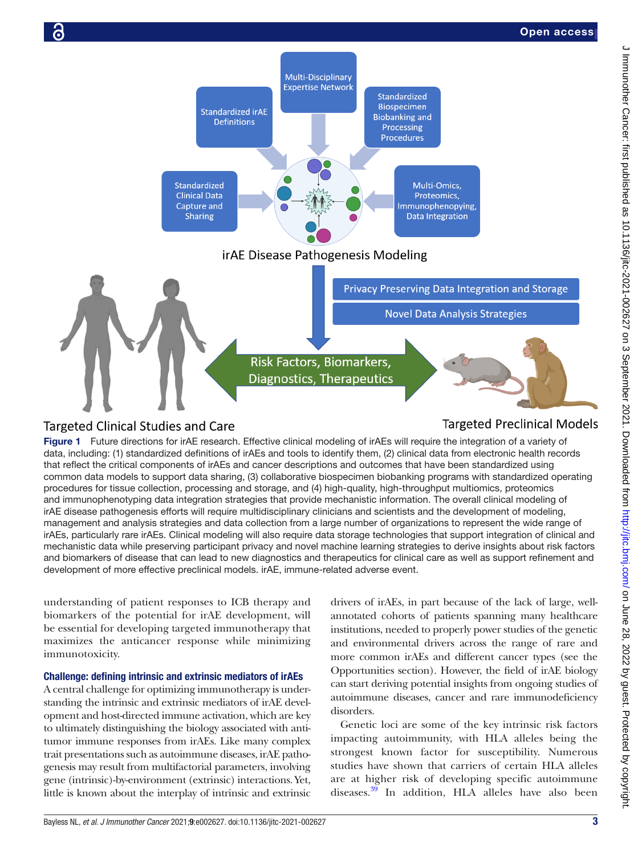

# <span id="page-2-0"></span>**Targeted Clinical Studies and Care**

# **Targeted Preclinical Models**

Figure 1 Future directions for irAE research. Effective clinical modeling of irAEs will require the integration of a variety of data, including: (1) standardized definitions of irAEs and tools to identify them, (2) clinical data from electronic health records that reflect the critical components of irAEs and cancer descriptions and outcomes that have been standardized using common data models to support data sharing, (3) collaborative biospecimen biobanking programs with standardized operating procedures for tissue collection, processing and storage, and (4) high-quality, high-throughput multiomics, proteomics and immunophenotyping data integration strategies that provide mechanistic information. The overall clinical modeling of irAE disease pathogenesis efforts will require multidisciplinary clinicians and scientists and the development of modeling, management and analysis strategies and data collection from a large number of organizations to represent the wide range of irAEs, particularly rare irAEs. Clinical modeling will also require data storage technologies that support integration of clinical and mechanistic data while preserving participant privacy and novel machine learning strategies to derive insights about risk factors and biomarkers of disease that can lead to new diagnostics and therapeutics for clinical care as well as support refinement and development of more effective preclinical models. irAE, immune-related adverse event.

understanding of patient responses to ICB therapy and biomarkers of the potential for irAE development, will be essential for developing targeted immunotherapy that maximizes the anticancer response while minimizing immunotoxicity.

#### Challenge: defining intrinsic and extrinsic mediators of irAEs

A central challenge for optimizing immunotherapy is understanding the intrinsic and extrinsic mediators of irAE development and host-directed immune activation, which are key to ultimately distinguishing the biology associated with antitumor immune responses from irAEs. Like many complex trait presentations such as autoimmune diseases, irAE pathogenesis may result from multifactorial parameters, involving gene (intrinsic)-by-environment (extrinsic) interactions. Yet, little is known about the interplay of intrinsic and extrinsic

drivers of irAEs, in part because of the lack of large, wellannotated cohorts of patients spanning many healthcare institutions, needed to properly power studies of the genetic and environmental drivers across the range of rare and more common irAEs and different cancer types (see the Opportunities section). However, the field of irAE biology can start deriving potential insights from ongoing studies of autoimmune diseases, cancer and rare immunodeficiency disorders.

Genetic loci are some of the key intrinsic risk factors impacting autoimmunity, with HLA alleles being the strongest known factor for susceptibility. Numerous studies have shown that carriers of certain HLA alleles are at higher risk of developing specific autoimmune diseases.<sup>39</sup> In addition, HLA alleles have also been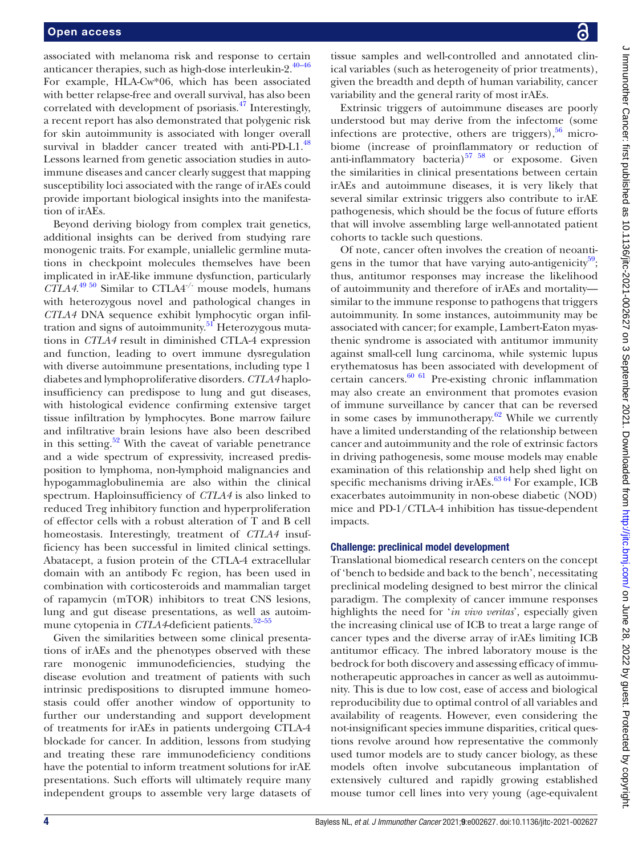associated with melanoma risk and response to certain anticancer therapies, such as high-dose interleukin-2. $40-46$ For example, HLA-Cw\*06, which has been associated with better relapse-free and overall survival, has also been correlated with development of psoriasis.[47](#page-10-0) Interestingly, a recent report has also demonstrated that polygenic risk for skin autoimmunity is associated with longer overall survival in bladder cancer treated with anti-PD-L1.<sup>[48](#page-10-1)</sup> Lessons learned from genetic association studies in autoimmune diseases and cancer clearly suggest that mapping susceptibility loci associated with the range of irAEs could provide important biological insights into the manifestation of irAEs.

Beyond deriving biology from complex trait genetics, additional insights can be derived from studying rare monogenic traits. For example, uniallelic germline mutations in checkpoint molecules themselves have been implicated in irAE-like immune dysfunction, particularly *CTLA4*. [49 50](#page-10-2) Similar to CTLA4-/- mouse models, humans with heterozygous novel and pathological changes in *CTLA4* DNA sequence exhibit lymphocytic organ infiltration and signs of autoimmunity.<sup>51</sup> Heterozygous mutations in *CTLA4* result in diminished CTLA-4 expression and function, leading to overt immune dysregulation with diverse autoimmune presentations, including type 1 diabetes and lymphoproliferative disorders. *CTLA4* haploinsufficiency can predispose to lung and gut diseases, with histological evidence confirming extensive target tissue infiltration by lymphocytes. Bone marrow failure and infiltrative brain lesions have also been described in this setting. $52$  With the caveat of variable penetrance and a wide spectrum of expressivity, increased predisposition to lymphoma, non-lymphoid malignancies and hypogammaglobulinemia are also within the clinical spectrum. Haploinsufficiency of *CTLA4* is also linked to reduced Treg inhibitory function and hyperproliferation of effector cells with a robust alteration of T and B cell homeostasis. Interestingly, treatment of *CTLA4* insufficiency has been successful in limited clinical settings. Abatacept, a fusion protein of the CTLA-4 extracellular domain with an antibody Fc region, has been used in combination with corticosteroids and mammalian target of rapamycin (mTOR) inhibitors to treat CNS lesions, lung and gut disease presentations, as well as autoimmune cytopenia in *CTLA4*-deficient patients.<sup>52-55</sup>

Given the similarities between some clinical presentations of irAEs and the phenotypes observed with these rare monogenic immunodeficiencies, studying the disease evolution and treatment of patients with such intrinsic predispositions to disrupted immune homeostasis could offer another window of opportunity to further our understanding and support development of treatments for irAEs in patients undergoing CTLA-4 blockade for cancer. In addition, lessons from studying and treating these rare immunodeficiency conditions have the potential to inform treatment solutions for irAE presentations. Such efforts will ultimately require many independent groups to assemble very large datasets of

tissue samples and well-controlled and annotated clinical variables (such as heterogeneity of prior treatments), given the breadth and depth of human variability, cancer variability and the general rarity of most irAEs.

Extrinsic triggers of autoimmune diseases are poorly understood but may derive from the infectome (some infections are protective, others are triggers),  $56$  microbiome (increase of proinflammatory or reduction of anti-inflammatory bacteria) $5758$  or exposome. Given the similarities in clinical presentations between certain irAEs and autoimmune diseases, it is very likely that several similar extrinsic triggers also contribute to irAE pathogenesis, which should be the focus of future efforts that will involve assembling large well-annotated patient cohorts to tackle such questions.

Of note, cancer often involves the creation of neoanti-gens in the tumor that have varying auto-antigenicity<sup>[59](#page-10-7)</sup>; thus, antitumor responses may increase the likelihood of autoimmunity and therefore of irAEs and mortality similar to the immune response to pathogens that triggers autoimmunity. In some instances, autoimmunity may be associated with cancer; for example, Lambert-Eaton myasthenic syndrome is associated with antitumor immunity against small-cell lung carcinoma, while systemic lupus erythematosus has been associated with development of certain cancers.[60 61](#page-10-8) Pre-existing chronic inflammation may also create an environment that promotes evasion of immune surveillance by cancer that can be reversed in some cases by immunotherapy. $62$  While we currently have a limited understanding of the relationship between cancer and autoimmunity and the role of extrinsic factors in driving pathogenesis, some mouse models may enable examination of this relationship and help shed light on specific mechanisms driving ir $\overline{A}$ Es.<sup>63 64</sup> For example, ICB exacerbates autoimmunity in non-obese diabetic (NOD) mice and PD-1/CTLA-4 inhibition has tissue-dependent impacts.

#### Challenge: preclinical model development

Translational biomedical research centers on the concept of 'bench to bedside and back to the bench', necessitating preclinical modeling designed to best mirror the clinical paradigm. The complexity of cancer immune responses highlights the need for '*in vivo veritas*', especially given the increasing clinical use of ICB to treat a large range of cancer types and the diverse array of irAEs limiting ICB antitumor efficacy. The inbred laboratory mouse is the bedrock for both discovery and assessing efficacy of immunotherapeutic approaches in cancer as well as autoimmunity. This is due to low cost, ease of access and biological reproducibility due to optimal control of all variables and availability of reagents. However, even considering the not-insignificant species immune disparities, critical questions revolve around how representative the commonly used tumor models are to study cancer biology, as these models often involve subcutaneous implantation of extensively cultured and rapidly growing established mouse tumor cell lines into very young (age-equivalent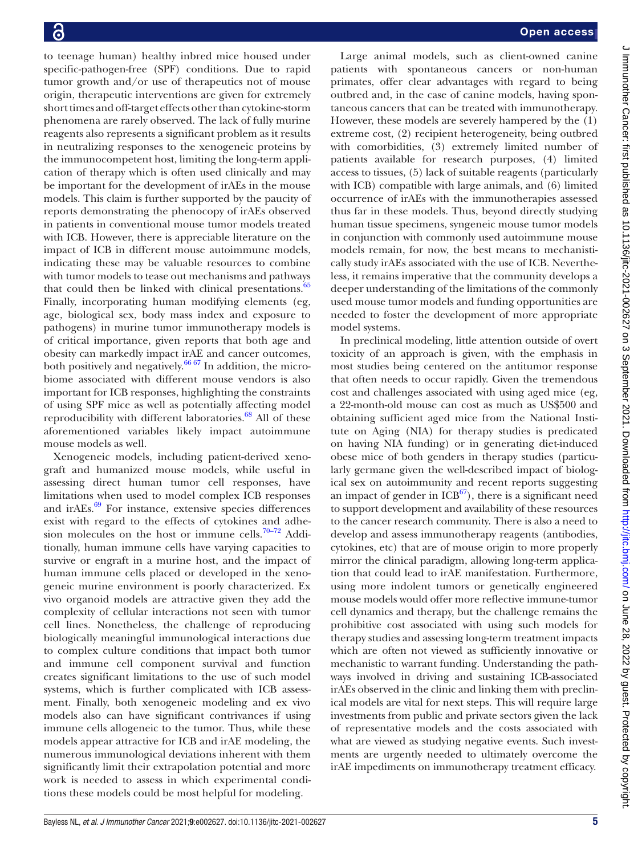to teenage human) healthy inbred mice housed under specific-pathogen-free (SPF) conditions. Due to rapid tumor growth and/or use of therapeutics not of mouse origin, therapeutic interventions are given for extremely short times and off-target effects other than cytokine-storm phenomena are rarely observed. The lack of fully murine reagents also represents a significant problem as it results in neutralizing responses to the xenogeneic proteins by the immunocompetent host, limiting the long-term application of therapy which is often used clinically and may be important for the development of irAEs in the mouse models. This claim is further supported by the paucity of reports demonstrating the phenocopy of irAEs observed in patients in conventional mouse tumor models treated with ICB. However, there is appreciable literature on the impact of ICB in different mouse autoimmune models, indicating these may be valuable resources to combine with tumor models to tease out mechanisms and pathways that could then be linked with clinical presentations.<sup>65</sup> Finally, incorporating human modifying elements (eg, age, biological sex, body mass index and exposure to pathogens) in murine tumor immunotherapy models is of critical importance, given reports that both age and obesity can markedly impact irAE and cancer outcomes, both positively and negatively. $66\frac{67}{7}$  In addition, the microbiome associated with different mouse vendors is also important for ICB responses, highlighting the constraints of using SPF mice as well as potentially affecting model reproducibility with different laboratories.<sup>68</sup> All of these aforementioned variables likely impact autoimmune mouse models as well.

Xenogeneic models, including patient-derived xenograft and humanized mouse models, while useful in assessing direct human tumor cell responses, have limitations when used to model complex ICB responses and ir $AEs$ .<sup>69</sup> For instance, extensive species differences exist with regard to the effects of cytokines and adhesion molecules on the host or immune cells. $70-72$  Additionally, human immune cells have varying capacities to survive or engraft in a murine host, and the impact of human immune cells placed or developed in the xenogeneic murine environment is poorly characterized. Ex vivo organoid models are attractive given they add the complexity of cellular interactions not seen with tumor cell lines. Nonetheless, the challenge of reproducing biologically meaningful immunological interactions due to complex culture conditions that impact both tumor and immune cell component survival and function creates significant limitations to the use of such model systems, which is further complicated with ICB assessment. Finally, both xenogeneic modeling and ex vivo models also can have significant contrivances if using immune cells allogeneic to the tumor. Thus, while these models appear attractive for ICB and irAE modeling, the numerous immunological deviations inherent with them significantly limit their extrapolation potential and more work is needed to assess in which experimental conditions these models could be most helpful for modeling.

Large animal models, such as client-owned canine patients with spontaneous cancers or non-human primates, offer clear advantages with regard to being outbred and, in the case of canine models, having spontaneous cancers that can be treated with immunotherapy. However, these models are severely hampered by the (1) extreme cost, (2) recipient heterogeneity, being outbred with comorbidities, (3) extremely limited number of patients available for research purposes, (4) limited access to tissues, (5) lack of suitable reagents (particularly with ICB) compatible with large animals, and (6) limited occurrence of irAEs with the immunotherapies assessed thus far in these models. Thus, beyond directly studying human tissue specimens, syngeneic mouse tumor models in conjunction with commonly used autoimmune mouse models remain, for now, the best means to mechanistically study irAEs associated with the use of ICB. Nevertheless, it remains imperative that the community develops a deeper understanding of the limitations of the commonly used mouse tumor models and funding opportunities are needed to foster the development of more appropriate model systems.

In preclinical modeling, little attention outside of overt toxicity of an approach is given, with the emphasis in most studies being centered on the antitumor response that often needs to occur rapidly. Given the tremendous cost and challenges associated with using aged mice (eg, a 22-month-old mouse can cost as much as US\$500 and obtaining sufficient aged mice from the National Institute on Aging (NIA) for therapy studies is predicated on having NIA funding) or in generating diet-induced obese mice of both genders in therapy studies (particularly germane given the well-described impact of biological sex on autoimmunity and recent reports suggesting an impact of gender in  $ICB<sup>67</sup>$ , there is a significant need to support development and availability of these resources to the cancer research community. There is also a need to develop and assess immunotherapy reagents (antibodies, cytokines, etc) that are of mouse origin to more properly mirror the clinical paradigm, allowing long-term application that could lead to irAE manifestation. Furthermore, using more indolent tumors or genetically engineered mouse models would offer more reflective immune-tumor cell dynamics and therapy, but the challenge remains the prohibitive cost associated with using such models for therapy studies and assessing long-term treatment impacts which are often not viewed as sufficiently innovative or mechanistic to warrant funding. Understanding the pathways involved in driving and sustaining ICB-associated irAEs observed in the clinic and linking them with preclinical models are vital for next steps. This will require large investments from public and private sectors given the lack of representative models and the costs associated with what are viewed as studying negative events. Such investments are urgently needed to ultimately overcome the irAE impediments on immunotherapy treatment efficacy.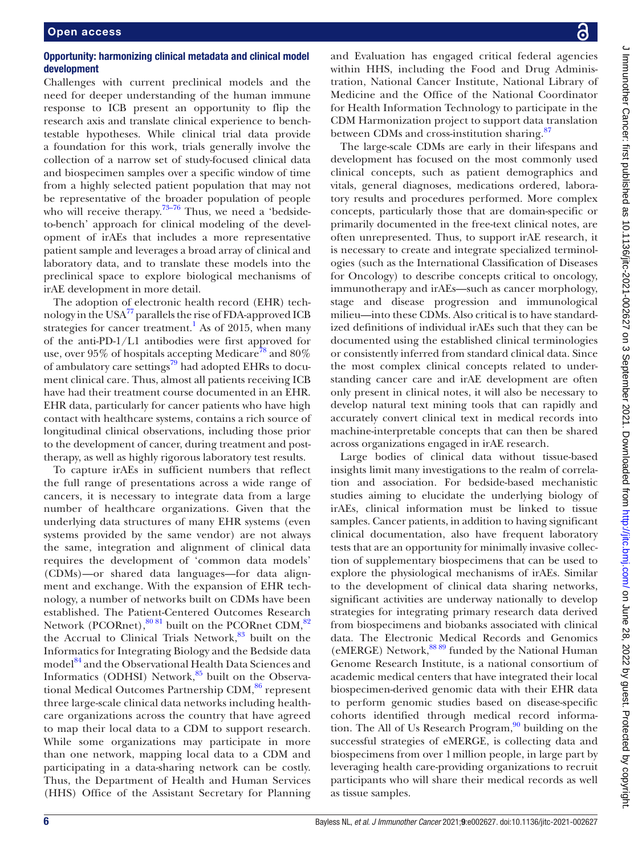#### Opportunity: harmonizing clinical metadata and clinical model development

Challenges with current preclinical models and the need for deeper understanding of the human immune response to ICB present an opportunity to flip the research axis and translate clinical experience to benchtestable hypotheses. While clinical trial data provide a foundation for this work, trials generally involve the collection of a narrow set of study-focused clinical data and biospecimen samples over a specific window of time from a highly selected patient population that may not be representative of the broader population of people who will receive therapy.<sup>73–76</sup> Thus, we need a 'bedsideto-bench' approach for clinical modeling of the development of irAEs that includes a more representative patient sample and leverages a broad array of clinical and laboratory data, and to translate these models into the preclinical space to explore biological mechanisms of irAE development in more detail.

The adoption of electronic health record (EHR) technology in the USA[77](#page-10-18) parallels the rise of FDA-approved ICB strategies for cancer treatment.<sup>[1](#page-9-0)</sup> As of 2015, when many of the anti-PD-1/L1 antibodies were first approved for use, over 95% of hospitals accepting Medicare<sup>78</sup> and 80% of ambulatory care settings<sup>79</sup> had adopted EHRs to document clinical care. Thus, almost all patients receiving ICB have had their treatment course documented in an EHR. EHR data, particularly for cancer patients who have high contact with healthcare systems, contains a rich source of longitudinal clinical observations, including those prior to the development of cancer, during treatment and posttherapy, as well as highly rigorous laboratory test results.

To capture irAEs in sufficient numbers that reflect the full range of presentations across a wide range of cancers, it is necessary to integrate data from a large number of healthcare organizations. Given that the underlying data structures of many EHR systems (even systems provided by the same vendor) are not always the same, integration and alignment of clinical data requires the development of 'common data models' (CDMs)—or shared data languages—for data alignment and exchange. With the expansion of EHR technology, a number of networks built on CDMs have been established. The Patient-Centered Outcomes Research Network (PCORnet), $80\,81}$  built on the PCORnet CDM, $82$ the Accrual to Clinical Trials Network,<sup>[83](#page-10-23)</sup> built on the Informatics for Integrating Biology and the Bedside data model<sup>84</sup> and the Observational Health Data Sciences and Informatics (ODHSI) Network, $85$  built on the Observa-tional Medical Outcomes Partnership CDM,<sup>[86](#page-10-26)</sup> represent three large-scale clinical data networks including healthcare organizations across the country that have agreed to map their local data to a CDM to support research. While some organizations may participate in more than one network, mapping local data to a CDM and participating in a data-sharing network can be costly. Thus, the Department of Health and Human Services (HHS) Office of the Assistant Secretary for Planning

and Evaluation has engaged critical federal agencies within HHS, including the Food and Drug Administration, National Cancer Institute, National Library of Medicine and the Office of the National Coordinator for Health Information Technology to participate in the CDM Harmonization project to support data translation between CDMs and cross-institution sharing.<sup>[87](#page-10-27)</sup>

The large-scale CDMs are early in their lifespans and development has focused on the most commonly used clinical concepts, such as patient demographics and vitals, general diagnoses, medications ordered, laboratory results and procedures performed. More complex concepts, particularly those that are domain-specific or primarily documented in the free-text clinical notes, are often unrepresented. Thus, to support irAE research, it is necessary to create and integrate specialized terminologies (such as the International Classification of Diseases for Oncology) to describe concepts critical to oncology, immunotherapy and irAEs—such as cancer morphology, stage and disease progression and immunological milieu—into these CDMs. Also critical is to have standardized definitions of individual irAEs such that they can be documented using the established clinical terminologies or consistently inferred from standard clinical data. Since the most complex clinical concepts related to understanding cancer care and irAE development are often only present in clinical notes, it will also be necessary to develop natural text mining tools that can rapidly and accurately convert clinical text in medical records into machine-interpretable concepts that can then be shared across organizations engaged in irAE research.

Large bodies of clinical data without tissue-based insights limit many investigations to the realm of correlation and association. For bedside-based mechanistic studies aiming to elucidate the underlying biology of irAEs, clinical information must be linked to tissue samples. Cancer patients, in addition to having significant clinical documentation, also have frequent laboratory tests that are an opportunity for minimally invasive collection of supplementary biospecimens that can be used to explore the physiological mechanisms of irAEs. Similar to the development of clinical data sharing networks, significant activities are underway nationally to develop strategies for integrating primary research data derived from biospecimens and biobanks associated with clinical data. The Electronic Medical Records and Genomics (eMERGE) Network,<sup>88 89</sup> funded by the National Human Genome Research Institute, is a national consortium of academic medical centers that have integrated their local biospecimen-derived genomic data with their EHR data to perform genomic studies based on disease-specific cohorts identified through medical record information. The All of Us Research Program, $90$  building on the successful strategies of eMERGE, is collecting data and biospecimens from over 1million people, in large part by leveraging health care-providing organizations to recruit participants who will share their medical records as well as tissue samples.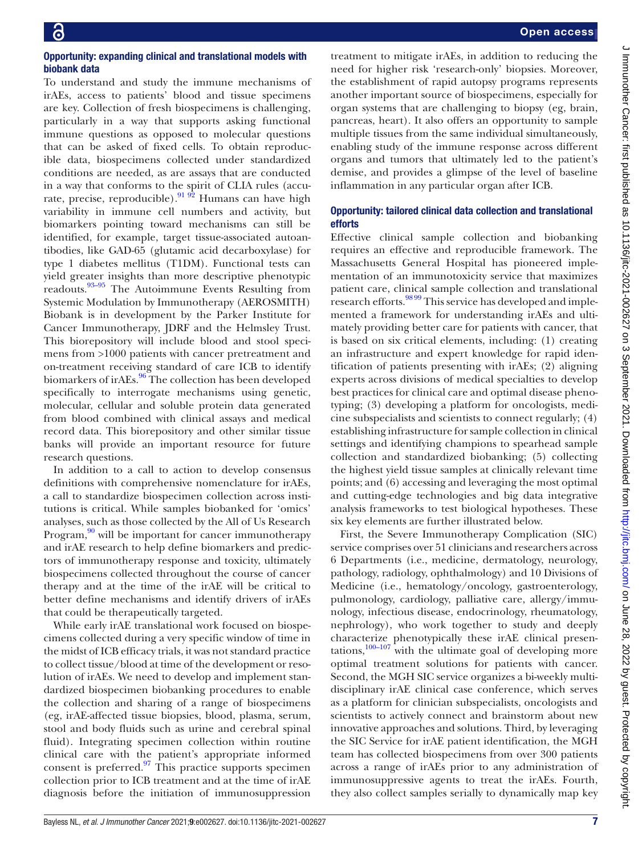# Opportunity: expanding clinical and translational models with biobank data

To understand and study the immune mechanisms of irAEs, access to patients' blood and tissue specimens are key. Collection of fresh biospecimens is challenging, particularly in a way that supports asking functional immune questions as opposed to molecular questions that can be asked of fixed cells. To obtain reproducible data, biospecimens collected under standardized conditions are needed, as are assays that are conducted in a way that conforms to the spirit of CLIA rules (accu-rate, precise, reproducible).<sup>[91 92](#page-10-30)</sup> Humans can have high variability in immune cell numbers and activity, but biomarkers pointing toward mechanisms can still be identified, for example, target tissue-associated autoantibodies, like GAD-65 (glutamic acid decarboxylase) for type 1 diabetes mellitus (T1DM). Functional tests can yield greater insights than more descriptive phenotypic readouts.[93–95](#page-10-31) The Autoimmune Events Resulting from Systemic Modulation by Immunotherapy (AEROSMITH) Biobank is in development by the Parker Institute for Cancer Immunotherapy, JDRF and the Helmsley Trust. This biorepository will include blood and stool specimens from >1000 patients with cancer pretreatment and on-treatment receiving standard of care ICB to identify biomarkers of irAEs.<sup>96</sup> The collection has been developed specifically to interrogate mechanisms using genetic, molecular, cellular and soluble protein data generated from blood combined with clinical assays and medical record data. This biorepository and other similar tissue banks will provide an important resource for future research questions.

In addition to a call to action to develop consensus definitions with comprehensive nomenclature for irAEs, a call to standardize biospecimen collection across institutions is critical. While samples biobanked for 'omics' analyses, such as those collected by the All of Us Research Program, $90$  will be important for cancer immunotherapy and irAE research to help define biomarkers and predictors of immunotherapy response and toxicity, ultimately biospecimens collected throughout the course of cancer therapy and at the time of the irAE will be critical to better define mechanisms and identify drivers of irAEs that could be therapeutically targeted.

While early irAE translational work focused on biospecimens collected during a very specific window of time in the midst of ICB efficacy trials, it was not standard practice to collect tissue/blood at time of the development or resolution of irAEs. We need to develop and implement standardized biospecimen biobanking procedures to enable the collection and sharing of a range of biospecimens (eg, irAE-affected tissue biopsies, blood, plasma, serum, stool and body fluids such as urine and cerebral spinal fluid). Integrating specimen collection within routine clinical care with the patient's appropriate informed consent is preferred. $\frac{97}{7}$  This practice supports specimen collection prior to ICB treatment and at the time of irAE diagnosis before the initiation of immunosuppression

treatment to mitigate irAEs, in addition to reducing the need for higher risk 'research-only' biopsies. Moreover, the establishment of rapid autopsy programs represents another important source of biospecimens, especially for organ systems that are challenging to biopsy (eg, brain, pancreas, heart). It also offers an opportunity to sample multiple tissues from the same individual simultaneously, enabling study of the immune response across different organs and tumors that ultimately led to the patient's demise, and provides a glimpse of the level of baseline inflammation in any particular organ after ICB.

# Opportunity: tailored clinical data collection and translational efforts

Effective clinical sample collection and biobanking requires an effective and reproducible framework. The Massachusetts General Hospital has pioneered implementation of an immunotoxicity service that maximizes patient care, clinical sample collection and translational research efforts.<sup>98 99</sup> This service has developed and implemented a framework for understanding irAEs and ultimately providing better care for patients with cancer, that is based on six critical elements, including: (1) creating an infrastructure and expert knowledge for rapid identification of patients presenting with irAEs; (2) aligning experts across divisions of medical specialties to develop best practices for clinical care and optimal disease phenotyping; (3) developing a platform for oncologists, medicine subspecialists and scientists to connect regularly; (4) establishing infrastructure for sample collection in clinical settings and identifying champions to spearhead sample collection and standardized biobanking; (5) collecting the highest yield tissue samples at clinically relevant time points; and (6) accessing and leveraging the most optimal and cutting-edge technologies and big data integrative analysis frameworks to test biological hypotheses. These six key elements are further illustrated below.

First, the Severe Immunotherapy Complication (SIC) service comprises over 51 clinicians and researchers across 6 Departments (i.e., medicine, dermatology, neurology, pathology, radiology, ophthalmology) and 10 Divisions of Medicine (i.e., hematology/oncology, gastroenterology, pulmonology, cardiology, palliative care, allergy/immunology, infectious disease, endocrinology, rheumatology, nephrology), who work together to study and deeply characterize phenotypically these irAE clinical presentations, $\frac{100-107}{ }$  with the ultimate goal of developing more optimal treatment solutions for patients with cancer. Second, the MGH SIC service organizes a bi-weekly multidisciplinary irAE clinical case conference, which serves as a platform for clinician subspecialists, oncologists and scientists to actively connect and brainstorm about new innovative approaches and solutions. Third, by leveraging the SIC Service for irAE patient identification, the MGH team has collected biospecimens from over 300 patients across a range of irAEs prior to any administration of immunosuppressive agents to treat the irAEs. Fourth, they also collect samples serially to dynamically map key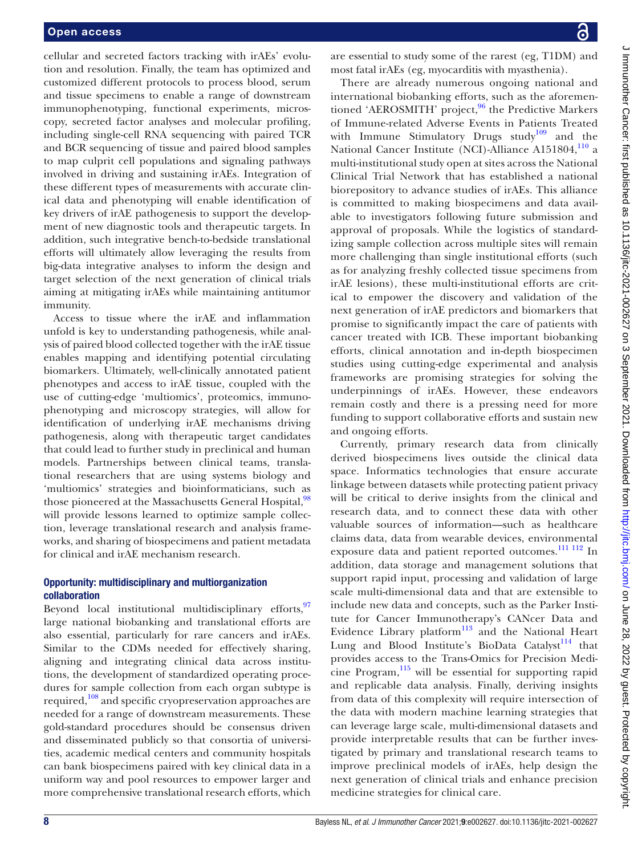cellular and secreted factors tracking with irAEs' evolution and resolution. Finally, the team has optimized and customized different protocols to process blood, serum and tissue specimens to enable a range of downstream immunophenotyping, functional experiments, microscopy, secreted factor analyses and molecular profiling, including single-cell RNA sequencing with paired TCR and BCR sequencing of tissue and paired blood samples to map culprit cell populations and signaling pathways involved in driving and sustaining irAEs. Integration of these different types of measurements with accurate clinical data and phenotyping will enable identification of key drivers of irAE pathogenesis to support the development of new diagnostic tools and therapeutic targets. In addition, such integrative bench-to-bedside translational efforts will ultimately allow leveraging the results from big-data integrative analyses to inform the design and target selection of the next generation of clinical trials aiming at mitigating irAEs while maintaining antitumor immunity.

Access to tissue where the irAE and inflammation unfold is key to understanding pathogenesis, while analysis of paired blood collected together with the irAE tissue enables mapping and identifying potential circulating biomarkers. Ultimately, well-clinically annotated patient phenotypes and access to irAE tissue, coupled with the use of cutting-edge 'multiomics', proteomics, immunophenotyping and microscopy strategies, will allow for identification of underlying irAE mechanisms driving pathogenesis, along with therapeutic target candidates that could lead to further study in preclinical and human models. Partnerships between clinical teams, translational researchers that are using systems biology and 'multiomics' strategies and bioinformaticians, such as those pioneered at the Massachusetts General Hospital,<sup>98</sup> will provide lessons learned to optimize sample collection, leverage translational research and analysis frameworks, and sharing of biospecimens and patient metadata for clinical and irAE mechanism research.

#### Opportunity: multidisciplinary and multiorganization collaboration

Beyond local institutional multidisciplinary efforts, 97 large national biobanking and translational efforts are also essential, particularly for rare cancers and irAEs. Similar to the CDMs needed for effectively sharing, aligning and integrating clinical data across institutions, the development of standardized operating procedures for sample collection from each organ subtype is required,[108](#page-11-4) and specific cryopreservation approaches are needed for a range of downstream measurements. These gold-standard procedures should be consensus driven and disseminated publicly so that consortia of universities, academic medical centers and community hospitals can bank biospecimens paired with key clinical data in a uniform way and pool resources to empower larger and more comprehensive translational research efforts, which

are essential to study some of the rarest (eg, T1DM) and most fatal irAEs (eg, myocarditis with myasthenia).

There are already numerous ongoing national and international biobanking efforts, such as the aforementioned 'AEROSMITH' project,  $96$  the Predictive Markers of Immune-related Adverse Events in Patients Treated with Immune Stimulatory Drugs study<sup>[109](#page-11-5)</sup> and the National Cancer Institute (NCI)-Alliance A151804,<sup>[110](#page-11-6)</sup> a multi-institutional study open at sites across the National Clinical Trial Network that has established a national biorepository to advance studies of irAEs. This alliance is committed to making biospecimens and data available to investigators following future submission and approval of proposals. While the logistics of standardizing sample collection across multiple sites will remain more challenging than single institutional efforts (such as for analyzing freshly collected tissue specimens from irAE lesions), these multi-institutional efforts are critical to empower the discovery and validation of the next generation of irAE predictors and biomarkers that promise to significantly impact the care of patients with cancer treated with ICB. These important biobanking efforts, clinical annotation and in-depth biospecimen studies using cutting-edge experimental and analysis frameworks are promising strategies for solving the underpinnings of irAEs. However, these endeavors remain costly and there is a pressing need for more funding to support collaborative efforts and sustain new and ongoing efforts.

Currently, primary research data from clinically derived biospecimens lives outside the clinical data space. Informatics technologies that ensure accurate linkage between datasets while protecting patient privacy will be critical to derive insights from the clinical and research data, and to connect these data with other valuable sources of information—such as healthcare claims data, data from wearable devices, environmental exposure data and patient reported outcomes.<sup>[111 112](#page-11-7)</sup> In addition, data storage and management solutions that support rapid input, processing and validation of large scale multi-dimensional data and that are extensible to include new data and concepts, such as the Parker Institute for Cancer Immunotherapy's CANcer Data and Evidence Library platform $113$  and the National Heart Lung and Blood Institute's BioData Catalyst<sup>114</sup> that provides access to the Trans-Omics for Precision Medicine Program, $115$  will be essential for supporting rapid and replicable data analysis. Finally, deriving insights from data of this complexity will require intersection of the data with modern machine learning strategies that can leverage large scale, multi-dimensional datasets and provide interpretable results that can be further investigated by primary and translational research teams to improve preclinical models of irAEs, help design the next generation of clinical trials and enhance precision medicine strategies for clinical care.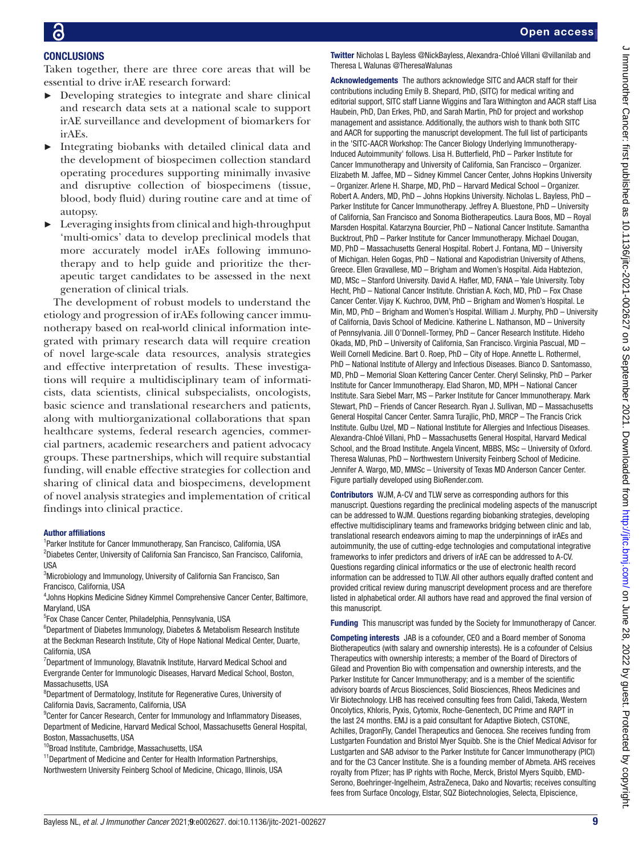**CONCLUSIONS** 

# Taken together, there are three core areas that will be

- essential to drive irAE research forward: ► Developing strategies to integrate and share clinical and research data sets at a national scale to support irAE surveillance and development of biomarkers for irAEs.
- ► Integrating biobanks with detailed clinical data and the development of biospecimen collection standard operating procedures supporting minimally invasive and disruptive collection of biospecimens (tissue, blood, body fluid) during routine care and at time of autopsy.
- Leveraging insights from clinical and high-throughput 'multi-omics' data to develop preclinical models that more accurately model irAEs following immunotherapy and to help guide and prioritize the therapeutic target candidates to be assessed in the next generation of clinical trials.

The development of robust models to understand the etiology and progression of irAEs following cancer immunotherapy based on real-world clinical information integrated with primary research data will require creation of novel large-scale data resources, analysis strategies and effective interpretation of results. These investigations will require a multidisciplinary team of informaticists, data scientists, clinical subspecialists, oncologists, basic science and translational researchers and patients, along with multiorganizational collaborations that span healthcare systems, federal research agencies, commercial partners, academic researchers and patient advocacy groups. These partnerships, which will require substantial funding, will enable effective strategies for collection and sharing of clinical data and biospecimens, development of novel analysis strategies and implementation of critical findings into clinical practice.

#### Author affiliations

<sup>1</sup>Parker Institute for Cancer Immunotherapy, San Francisco, California, USA 2 Diabetes Center, University of California San Francisco, San Francisco, California, USA

<sup>3</sup>Microbiology and Immunology, University of California San Francisco, San Francisco, California, USA

4 Johns Hopkins Medicine Sidney Kimmel Comprehensive Cancer Center, Baltimore, Maryland, USA

5 Fox Chase Cancer Center, Philadelphia, Pennsylvania, USA

<sup>6</sup>Department of Diabetes Immunology, Diabetes & Metabolism Research Institute at the Beckman Research Institute, City of Hope National Medical Center, Duarte, California, USA

<sup>7</sup>Department of Immunology, Blavatnik Institute, Harvard Medical School and Evergrande Center for Immunologic Diseases, Harvard Medical School, Boston, Massachusetts, USA

<sup>8</sup>Department of Dermatology, Institute for Regenerative Cures, University of California Davis, Sacramento, California, USA

<sup>9</sup> Center for Cancer Research, Center for Immunology and Inflammatory Diseases, Department of Medicine, Harvard Medical School, Massachusetts General Hospital, Boston, Massachusetts, USA

<sup>10</sup>Broad Institute, Cambridge, Massachusetts, USA

<sup>11</sup>Department of Medicine and Center for Health Information Partnerships, Northwestern University Feinberg School of Medicine, Chicago, Illinois, USA Twitter Nicholas L Bayless [@NickBayless,](https://twitter.com/NickBayless) Alexandra-Chloé Villani [@villanilab](https://twitter.com/villanilab) and Theresa L Walunas [@TheresaWalunas](https://twitter.com/TheresaWalunas)

Acknowledgements The authors acknowledge SITC and AACR staff for their contributions including Emily B. Shepard, PhD, (SITC) for medical writing and editorial support, SITC staff Lianne Wiggins and Tara Withington and AACR staff Lisa Haubein, PhD, Dan Erkes, PhD, and Sarah Martin, PhD for project and workshop management and assistance. Additionally, the authors wish to thank both SITC and AACR for supporting the manuscript development. The full list of participants in the 'SITC-AACR Workshop: The Cancer Biology Underlying Immunotherapy-Induced Autoimmunity' follows. Lisa H. Butterfield, PhD – Parker Institute for Cancer Immunotherapy and University of California, San Francisco – Organizer. Elizabeth M. Jaffee, MD – Sidney Kimmel Cancer Center, Johns Hopkins University – Organizer. Arlene H. Sharpe, MD, PhD – Harvard Medical School – Organizer. Robert A. Anders, MD, PhD – Johns Hopkins University. Nicholas L. Bayless, PhD – Parker Institute for Cancer Immunotherapy. Jeffrey A. Bluestone, PhD – University of California, San Francisco and Sonoma Biotherapeutics. Laura Boos, MD – Royal Marsden Hospital. Katarzyna Bourcier, PhD – National Cancer Institute. Samantha Bucktrout, PhD – Parker Institute for Cancer Immunotherapy. Michael Dougan, MD, PhD – Massachusetts General Hospital. Robert J. Fontana, MD – University of Michigan. Helen Gogas, PhD – National and Kapodistrian University of Athens, Greece. Ellen Gravallese, MD – Brigham and Women's Hospital. Aida Habtezion, MD, MSc – Stanford University. David A. Hafler, MD, FANA – Yale University. Toby Hecht, PhD – National Cancer Institute. Christian A. Koch, MD, PhD – Fox Chase Cancer Center. Vijay K. Kuchroo, DVM, PhD – Brigham and Women's Hospital. Le Min, MD, PhD – Brigham and Women's Hospital. William J. Murphy, PhD – University of California, Davis School of Medicine. Katherine L. Nathanson, MD – University of Pennsylvania. Jill O'Donnell-Tormey, PhD – Cancer Research Institute. Hideho Okada, MD, PhD – University of California, San Francisco. Virginia Pascual, MD – Weill Cornell Medicine. Bart O. Roep, PhD – City of Hope. Annette L. Rothermel, PhD – National Institute of Allergy and Infectious Diseases. Bianco D. Santomasso, MD, PhD – Memorial Sloan Kettering Cancer Center. Cheryl Selinsky, PhD – Parker Institute for Cancer Immunotherapy. Elad Sharon, MD, MPH – National Cancer Institute. Sara Siebel Marr, MS – Parker Institute for Cancer Immunotherapy. Mark Stewart, PhD – Friends of Cancer Research. Ryan J. Sullivan, MD – Massachusetts General Hospital Cancer Center. Samra Turajlic, PhD, MRCP – The Francis Crick Institute. Gulbu Uzel, MD – National Institute for Allergies and Infectious Diseases. Alexandra-Chloé Villani, PhD – Massachusetts General Hospital, Harvard Medical School, and the Broad Institute. Angela Vincent, MBBS, MSc – University of Oxford. Theresa Walunas, PhD – Northwestern University Feinberg School of Medicine. Jennifer A. Wargo, MD, MMSc – University of Texas MD Anderson Cancer Center. Figure partially developed using BioRender.com.

Contributors WJM, A-CV and TLW serve as corresponding authors for this manuscript. Questions regarding the preclinical modeling aspects of the manuscript can be addressed to WJM. Questions regarding biobanking strategies, developing effective multidisciplinary teams and frameworks bridging between clinic and lab, translational research endeavors aiming to map the underpinnings of irAEs and autoimmunity, the use of cutting-edge technologies and computational integrative frameworks to infer predictors and drivers of irAE can be addressed to A-CV. Questions regarding clinical informatics or the use of electronic health record information can be addressed to TLW. All other authors equally drafted content and provided critical review during manuscript development process and are therefore listed in alphabetical order. All authors have read and approved the final version of this manuscript.

Funding This manuscript was funded by the Society for Immunotherapy of Cancer.

Competing interests JAB is a cofounder, CEO and a Board member of Sonoma Biotherapeutics (with salary and ownership interests). He is a cofounder of Celsius Therapeutics with ownership interests; a member of the Board of Directors of Gilead and Provention Bio with compensation and ownership interests, and the Parker Institute for Cancer Immunotherapy; and is a member of the scientific advisory boards of Arcus Biosciences, Solid Biosciences, Rheos Medicines and Vir Biotechnology. LHB has received consulting fees from Calidi, Takeda, Western Oncolytics, Khloris, Pyxis, Cytomix, Roche-Genentech, DC Prime and RAPT in the last 24 months. EMJ is a paid consultant for Adaptive Biotech, CSTONE, Achilles, DragonFly, Candel Therapeutics and Genocea. She receives funding from Lustgarten Foundation and Bristol Myer Squibb. She is the Chief Medical Advisor for Lustgarten and SAB advisor to the Parker Institute for Cancer Immunotherapy (PICI) and for the C3 Cancer Institute. She is a founding member of Abmeta. AHS receives royalty from Pfizer; has IP rights with Roche, Merck, Bristol Myers Squibb, EMD-Serono, Boehringer-Ingelheim, AstraZeneca, Dako and Novartis; receives consulting fees from Surface Oncology, Elstar, SQZ Biotechnologies, Selecta, Elpiscience,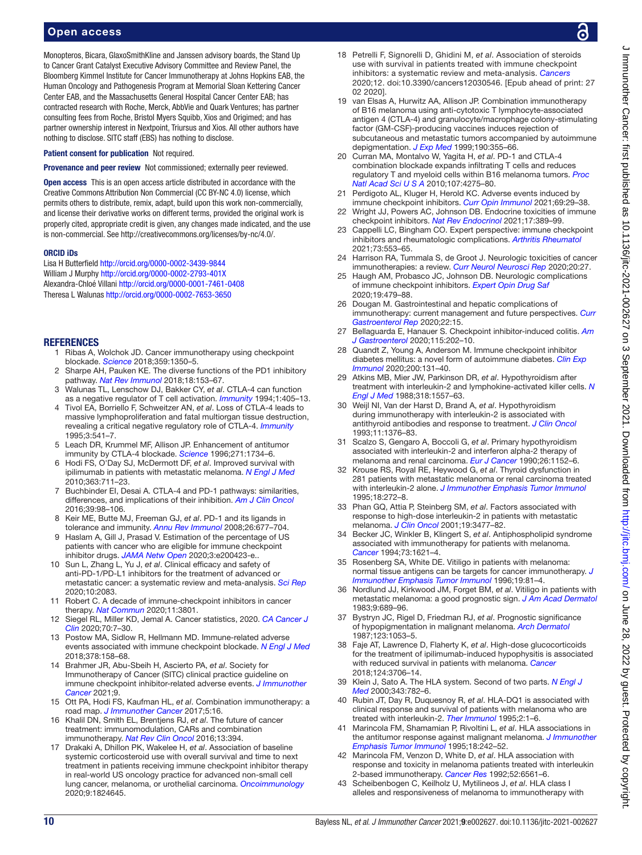# Open access

Monopteros, Bicara, GlaxoSmithKline and Janssen advisory boards, the Stand Up to Cancer Grant Catalyst Executive Advisory Committee and Review Panel, the Bloomberg Kimmel Institute for Cancer Immunotherapy at Johns Hopkins EAB, the Human Oncology and Pathogenesis Program at Memorial Sloan Kettering Cancer Center EAB, and the Massachusetts General Hospital Cancer Center EAB; has contracted research with Roche, Merck, AbbVie and Quark Ventures; has partner consulting fees from Roche, Bristol Myers Squibb, Xios and Origimed; and has partner ownership interest in Nextpoint, Triursus and Xios. All other authors have nothing to disclose. SITC staff (EBS) has nothing to disclose.

Patient consent for publication Not required.

Provenance and peer review Not commissioned; externally peer reviewed.

Open access This is an open access article distributed in accordance with the Creative Commons Attribution Non Commercial (CC BY-NC 4.0) license, which permits others to distribute, remix, adapt, build upon this work non-commercially, and license their derivative works on different terms, provided the original work is properly cited, appropriate credit is given, any changes made indicated, and the use is non-commercial. See [http://creativecommons.org/licenses/by-nc/4.0/.](http://creativecommons.org/licenses/by-nc/4.0/)

#### ORCID iDs

Lisa H Butterfield<http://orcid.org/0000-0002-3439-9844> William J Murphy <http://orcid.org/0000-0002-2793-401X> Alexandra-Chloé Villani <http://orcid.org/0000-0001-7461-0408> Theresa L Walunas <http://orcid.org/0000-0002-7653-3650>

#### <span id="page-9-0"></span>**REFERENCES**

- 1 Ribas A, Wolchok JD. Cancer immunotherapy using checkpoint blockade. *[Science](http://dx.doi.org/10.1126/science.aar4060)* 2018;359:1350–5.
- <span id="page-9-1"></span>2 Sharpe AH, Pauken KE. The diverse functions of the PD1 inhibitory pathway. *[Nat Rev Immunol](http://dx.doi.org/10.1038/nri.2017.108)* 2018;18:153–67.
- <span id="page-9-2"></span>3 Walunas TL, Lenschow DJ, Bakker CY, *et al*. CTLA-4 can function as a negative regulator of T cell activation. *[Immunity](http://dx.doi.org/10.1016/1074-7613(94)90071-x)* 1994;1:405–13.
- 4 Tivol EA, Borriello F, Schweitzer AN, *et al*. Loss of CTLA-4 leads to massive lymphoproliferation and fatal multiorgan tissue destruction, revealing a critical negative regulatory role of CTLA-4. *[Immunity](http://dx.doi.org/10.1016/1074-7613(95)90125-6)* 1995;3:541–7.
- <span id="page-9-3"></span>5 Leach DR, Krummel MF, Allison JP. Enhancement of antitumor immunity by CTLA-4 blockade. *[Science](http://dx.doi.org/10.1126/science.271.5256.1734)* 1996;271:1734–6.
- 6 Hodi FS, O'Day SJ, McDermott DF, *et al*. Improved survival with ipilimumab in patients with metastatic melanoma. *[N Engl J Med](http://dx.doi.org/10.1056/NEJMoa1003466)* 2010;363:711–23.
- <span id="page-9-4"></span>7 Buchbinder EI, Desai A. CTLA-4 and PD-1 pathways: similarities, differences, and implications of their inhibition. *[Am J Clin Oncol](http://dx.doi.org/10.1097/COC.0000000000000239)* 2016;39:98–106.
- <span id="page-9-5"></span>8 Keir ME, Butte MJ, Freeman GJ, *et al*. PD-1 and its ligands in tolerance and immunity. *[Annu Rev Immunol](http://dx.doi.org/10.1146/annurev.immunol.26.021607.090331)* 2008;26:677–704.
- <span id="page-9-6"></span>9 Haslam A, Gill J, Prasad V. Estimation of the percentage of US patients with cancer who are eligible for immune checkpoint inhibitor drugs. *[JAMA Netw Open](http://dx.doi.org/10.1001/jamanetworkopen.2020.0423)* 2020;3:e200423-e..
- <span id="page-9-7"></span>10 Sun L, Zhang L, Yu J, *et al*. Clinical efficacy and safety of anti-PD-1/PD-L1 inhibitors for the treatment of advanced or metastatic cancer: a systematic review and meta-analysis. *[Sci Rep](http://dx.doi.org/10.1038/s41598-020-58674-4)* 2020;10:2083.
- 11 Robert C. A decade of immune-checkpoint inhibitors in cancer therapy. *[Nat Commun](http://dx.doi.org/10.1038/s41467-020-17670-y)* 2020;11:3801.
- 12 Siegel RL, Miller KD, Jemal A. Cancer statistics, 2020. *[CA Cancer J](http://dx.doi.org/10.3322/caac.21590)  [Clin](http://dx.doi.org/10.3322/caac.21590)* 2020;70:7–30.
- <span id="page-9-8"></span>13 Postow MA, Sidlow R, Hellmann MD. Immune-related adverse events associated with immune checkpoint blockade. *[N Engl J Med](http://dx.doi.org/10.1056/NEJMra1703481)* 2018;378:158–68.
- <span id="page-9-9"></span>14 Brahmer JR, Abu-Sbeih H, Ascierto PA, *et al*. Society for Immunotherapy of Cancer (SITC) clinical practice guideline on immune checkpoint inhibitor-related adverse events. *[J Immunother](http://dx.doi.org/10.1136/jitc-2021-002435)  [Cancer](http://dx.doi.org/10.1136/jitc-2021-002435)* 2021;9.
- <span id="page-9-10"></span>15 Ott PA, Hodi FS, Kaufman HL, *et al*. Combination immunotherapy: a road map. *[J Immunother Cancer](http://dx.doi.org/10.1186/s40425-017-0218-5)* 2017;5:16.
- 16 Khalil DN, Smith EL, Brentjens RJ, *et al*. The future of cancer treatment: immunomodulation, CARs and combination immunotherapy. *[Nat Rev Clin Oncol](http://dx.doi.org/10.1038/nrclinonc.2016.65)* 2016;13:394.
- <span id="page-9-11"></span>17 Drakaki A, Dhillon PK, Wakelee H, *et al*. Association of baseline systemic corticosteroid use with overall survival and time to next treatment in patients receiving immune checkpoint inhibitor therapy in real-world US oncology practice for advanced non-small cell lung cancer, melanoma, or urothelial carcinoma. *[Oncoimmunology](http://dx.doi.org/10.1080/2162402X.2020.1824645)* 2020;9:1824645.
- 18 Petrelli F, Signorelli D, Ghidini M, *et al*. Association of steroids use with survival in patients treated with immune checkpoint inhibitors: a systematic review and meta-analysis. *[Cancers](http://dx.doi.org/10.3390/cancers12030546)* 2020;12. doi:10.3390/cancers12030546. [Epub ahead of print: 27 02 2020].
- <span id="page-9-12"></span>19 van Elsas A, Hurwitz AA, Allison JP. Combination immunotherapy of B16 melanoma using anti-cytotoxic T lymphocyte-associated antigen 4 (CTLA-4) and granulocyte/macrophage colony-stimulating factor (GM-CSF)-producing vaccines induces rejection of subcutaneous and metastatic tumors accompanied by autoimmune depigmentation. *[J Exp Med](http://dx.doi.org/10.1084/jem.190.3.355)* 1999;190:355–66.
- 20 Curran MA, Montalvo W, Yagita H, *et al*. PD-1 and CTLA-4 combination blockade expands infiltrating T cells and reduces regulatory T and myeloid cells within B16 melanoma tumors. *[Proc](http://dx.doi.org/10.1073/pnas.0915174107)  [Natl Acad Sci U S A](http://dx.doi.org/10.1073/pnas.0915174107)* 2010;107:4275–80.
- <span id="page-9-13"></span>21 Perdigoto AL, Kluger H, Herold KC. Adverse events induced by immune checkpoint inhibitors. *[Curr Opin Immunol](http://dx.doi.org/10.1016/j.coi.2021.02.002)* 2021;69:29–38.
- 22 Wright JJ, Powers AC, Johnson DB. Endocrine toxicities of immune checkpoint inhibitors. *[Nat Rev Endocrinol](http://dx.doi.org/10.1038/s41574-021-00484-3)* 2021;17:389–99.
- 23 Cappelli LC, Bingham CO. Expert perspective: immune checkpoint inhibitors and rheumatologic complications. *[Arthritis Rheumatol](http://dx.doi.org/10.1002/art.41587)* 2021;73:553–65.
- 24 Harrison RA, Tummala S, de Groot J. Neurologic toxicities of cancer immunotherapies: a review. *[Curr Neurol Neurosci Rep](http://dx.doi.org/10.1007/s11910-020-01038-2)* 2020;20:27.
- 25 Haugh AM, Probasco JC, Johnson DB. Neurologic complications of immune checkpoint inhibitors. *[Expert Opin Drug Saf](http://dx.doi.org/10.1080/14740338.2020.1738382)* 2020;19:479–88.
- 26 Dougan M. Gastrointestinal and hepatic complications of immunotherapy: current management and future perspectives. *[Curr](http://dx.doi.org/10.1007/s11894-020-0752-z)  [Gastroenterol Rep](http://dx.doi.org/10.1007/s11894-020-0752-z)* 2020;22:15.
- 27 Bellaguarda E, Hanauer S. Checkpoint inhibitor-induced colitis. *[Am](http://dx.doi.org/10.14309/ajg.0000000000000497)  [J Gastroenterol](http://dx.doi.org/10.14309/ajg.0000000000000497)* 2020;115:202–10.
- 28 Quandt Z, Young A, Anderson M. Immune checkpoint inhibitor diabetes mellitus: a novel form of autoimmune diabetes. *[Clin Exp](http://dx.doi.org/10.1111/cei.13424)  [Immunol](http://dx.doi.org/10.1111/cei.13424)* 2020;200:131–40.
- <span id="page-9-14"></span>29 Atkins MB, Mier JW, Parkinson DR, *et al*. Hypothyroidism after treatment with interleukin-2 and lymphokine-activated killer cells. *[N](http://dx.doi.org/10.1056/NEJM198806163182401)  [Engl J Med](http://dx.doi.org/10.1056/NEJM198806163182401)* 1988;318:1557–63.
- 30 Weijl NI, Van der Harst D, Brand A, *et al*. Hypothyroidism during immunotherapy with interleukin-2 is associated with antithyroid antibodies and response to treatment. *[J Clin Oncol](http://dx.doi.org/10.1200/JCO.1993.11.7.1376)* 1993;11:1376–83.
- 31 Scalzo S, Gengaro A, Boccoli G, *et al*. Primary hypothyroidism associated with interleukin-2 and interferon alpha-2 therapy of melanoma and renal carcinoma. *[Eur J Cancer](http://dx.doi.org/10.1016/0277-5379(90)90275-x)* 1990;26:1152–6.
- 32 Krouse RS, Royal RE, Heywood G, *et al*. Thyroid dysfunction in 281 patients with metastatic melanoma or renal carcinoma treated with interleukin-2 alone. *[J Immunother Emphasis Tumor Immunol](http://dx.doi.org/10.1097/00002371-199511000-00008)* 1995;18:272–8.
- 33 Phan GQ, Attia P, Steinberg SM, *et al*. Factors associated with response to high-dose interleukin-2 in patients with metastatic melanoma. *[J Clin Oncol](http://dx.doi.org/10.1200/JCO.2001.19.15.3477)* 2001;19:3477–82.
- 34 Becker JC, Winkler B, Klingert S, *et al*. Antiphospholipid syndrome associated with immunotherapy for patients with melanoma. *[Cancer](http://dx.doi.org/10.1002/1097-0142(19940315)73:6<1621::aid-cncr2820730613>3.0.co;2-e)* 1994;73:1621–4.
- 35 Rosenberg SA, White DE. Vitiligo in patients with melanoma: normal tissue antigens can be targets for cancer immunotherapy. *[J](http://www.ncbi.nlm.nih.gov/pubmed/8859727)  [Immunother Emphasis Tumor Immunol](http://www.ncbi.nlm.nih.gov/pubmed/8859727)* 1996;19:81–4.
- 36 Nordlund JJ, Kirkwood JM, Forget BM, *et al*. Vitiligo in patients with metastatic melanoma: a good prognostic sign. *[J Am Acad Dermatol](http://dx.doi.org/10.1016/s0190-9622(83)70182-9)* 1983;9:689–96.
- 37 Bystryn JC, Rigel D, Friedman RJ, *et al*. Prognostic significance of hypopigmentation in malignant melanoma. *[Arch Dermatol](http://www.ncbi.nlm.nih.gov/pubmed/3631983)* 1987;123:1053–5.
- <span id="page-9-15"></span>38 Faje AT, Lawrence D, Flaherty K, *et al*. High-dose glucocorticoids for the treatment of ipilimumab-induced hypophysitis is associated with reduced survival in patients with melanoma. *[Cancer](http://dx.doi.org/10.1002/cncr.31629)* 2018;124:3706–14.
- <span id="page-9-16"></span>39 Klein J, Sato A. The HLA system. Second of two parts. *[N Engl J](http://dx.doi.org/10.1056/NEJM200009143431106)  [Med](http://dx.doi.org/10.1056/NEJM200009143431106)* 2000;343:782–6.
- <span id="page-9-17"></span>40 Rubin JT, Day R, Duquesnoy R, *et al*. HLA-DQ1 is associated with clinical response and survival of patients with melanoma who are treated with interleukin-2. *[Ther Immunol](http://www.ncbi.nlm.nih.gov/pubmed/7553066)* 1995;2:1–6.
- 41 Marincola FM, Shamamian P, Rivoltini L, *et al*. HLA associations in the antitumor response against malignant melanoma. *[J Immunother](http://dx.doi.org/10.1097/00002371-199511000-00005)  [Emphasis Tumor Immunol](http://dx.doi.org/10.1097/00002371-199511000-00005)* 1995;18:242–52.
- 42 Marincola FM, Venzon D, White D, *et al*. HLA association with response and toxicity in melanoma patients treated with interleukin 2-based immunotherapy. *[Cancer Res](http://www.ncbi.nlm.nih.gov/pubmed/1423301)* 1992;52:6561–6.
- 43 Scheibenbogen C, Keilholz U, Mytilineos J, *et al*. HLA class I alleles and responsiveness of melanoma to immunotherapy with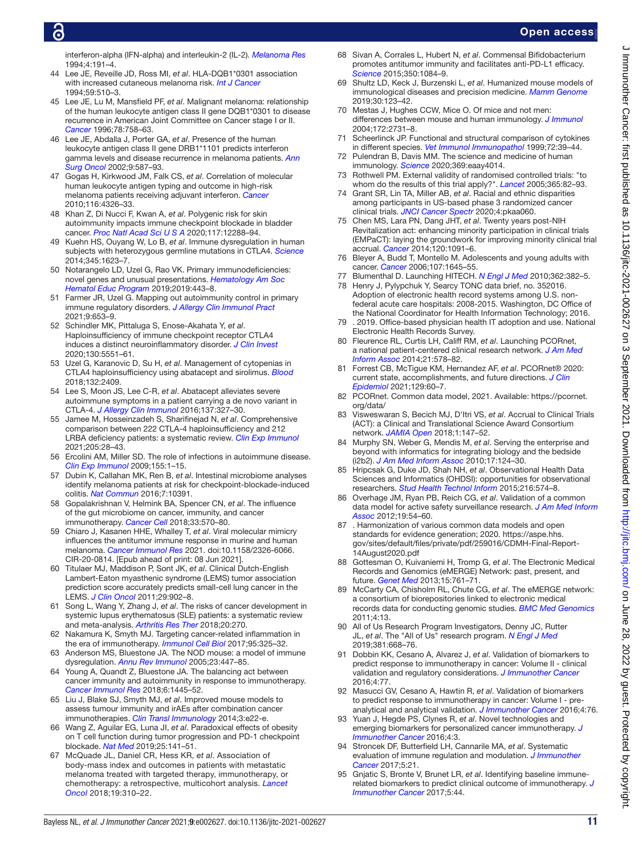interferon-alpha (IFN-alpha) and interleukin-2 (IL-2). *[Melanoma Res](http://dx.doi.org/10.1097/00008390-199406000-00008)* 1994;4:191–4.

- 44 Lee JE, Reveille JD, Ross MI, *et al*. HLA-DQB1\*0301 association with increased cutaneous melanoma risk. *[Int J Cancer](http://dx.doi.org/10.1002/ijc.2910590413)* 1994;59:510–3.
- 45 Lee JE, Lu M, Mansfield PF, *et al*. Malignant melanoma: relationship of the human leukocyte antigen class II gene DQB1\*0301 to disease recurrence in American Joint Committee on Cancer stage I or II. *[Cancer](http://dx.doi.org/10.1002/(SICI)1097-0142(19960815)78:4<758::AID-CNCR11>3.0.CO;2-U)* 1996;78:758–63.
- 46 Lee JE, Abdalla J, Porter GA, *et al*. Presence of the human leukocyte antigen class II gene DRB1\*1101 predicts interferon gamma levels and disease recurrence in melanoma patients. *[Ann](http://dx.doi.org/10.1007/BF02573896)  [Surg Oncol](http://dx.doi.org/10.1007/BF02573896)* 2002;9:587–93.
- <span id="page-10-0"></span>47 Gogas H, Kirkwood JM, Falk CS, *et al*. Correlation of molecular human leukocyte antigen typing and outcome in high-risk melanoma patients receiving adjuvant interferon. *[Cancer](http://dx.doi.org/10.1002/cncr.25211)* 2010;116:4326–33.
- <span id="page-10-1"></span>48 Khan Z, Di Nucci F, Kwan A, *et al*. Polygenic risk for skin autoimmunity impacts immune checkpoint blockade in bladder cancer. *[Proc Natl Acad Sci U S A](http://dx.doi.org/10.1073/pnas.1922867117)* 2020;117:12288–94.
- <span id="page-10-2"></span>49 Kuehn HS, Ouyang W, Lo B, *et al*. Immune dysregulation in human subjects with heterozygous germline mutations in CTLA4. *[Science](http://dx.doi.org/10.1126/science.1255904)* 2014;345:1623–7.
- 50 Notarangelo LD, Uzel G, Rao VK. Primary immunodeficiencies: novel genes and unusual presentations. *[Hematology Am Soc](http://dx.doi.org/10.1182/hematology.2019000051)  [Hematol Educ Program](http://dx.doi.org/10.1182/hematology.2019000051)* 2019;2019:443–8.
- <span id="page-10-3"></span>51 Farmer JR, Uzel G. Mapping out autoimmunity control in primary immune regulatory disorders. *[J Allergy Clin Immunol Pract](http://dx.doi.org/10.1016/j.jaip.2020.12.024)* 2021;9:653–9.
- <span id="page-10-4"></span>52 Schindler MK, Pittaluga S, Enose-Akahata Y, *et al*. Haploinsufficiency of immune checkpoint receptor CTLA4 induces a distinct neuroinflammatory disorder. *[J Clin Invest](http://dx.doi.org/10.1172/JCI135947)* 2020;130:5551–61.
- 53 Uzel G, Karanovic D, Su H, *et al*. Management of cytopenias in CTLA4 haploinsufficiency using abatacept and sirolimus. *[Blood](http://dx.doi.org/10.1182/blood-2018-99-120185)* 2018;132:2409.
- 54 Lee S, Moon JS, Lee C-R, *et al*. Abatacept alleviates severe autoimmune symptoms in a patient carrying a de novo variant in CTLA-4. *[J Allergy Clin Immunol](http://dx.doi.org/10.1016/j.jaci.2015.08.036)* 2016;137:327–30.
- 55 Jamee M, Hosseinzadeh S, Sharifinejad N, *et al*. Comprehensive comparison between 222 CTLA-4 haploinsufficiency and 212 LRBA deficiency patients: a systematic review. *[Clin Exp Immunol](http://dx.doi.org/10.1111/cei.13600)* 2021;205:28–43.
- <span id="page-10-5"></span>56 Ercolini AM, Miller SD. The role of infections in autoimmune disease. *[Clin Exp Immunol](http://dx.doi.org/10.1111/j.1365-2249.2008.03834.x)* 2009;155:1–15.
- <span id="page-10-6"></span>57 Dubin K, Callahan MK, Ren B, *et al*. Intestinal microbiome analyses identify melanoma patients at risk for checkpoint-blockade-induced colitis. *[Nat Commun](http://dx.doi.org/10.1038/ncomms10391)* 2016;7:10391.
- 58 Gopalakrishnan V, Helmink BA, Spencer CN, *et al*. The influence of the gut microbiome on cancer, immunity, and cancer immunotherapy. *[Cancer Cell](http://dx.doi.org/10.1016/j.ccell.2018.03.015)* 2018;33:570–80.
- <span id="page-10-7"></span>59 Chiaro J, Kasanen HHE, Whalley T, *et al*. Viral molecular mimicry influences the antitumor immune response in murine and human melanoma. *[Cancer Immunol Res](http://dx.doi.org/10.1158/2326-6066.CIR-20-0814)* 2021. doi:10.1158/2326-6066. CIR-20-0814. [Epub ahead of print: 08 Jun 2021].
- <span id="page-10-8"></span>60 Titulaer MJ, Maddison P, Sont JK, *et al*. Clinical Dutch-English Lambert-Eaton myasthenic syndrome (LEMS) tumor association prediction score accurately predicts small-cell lung cancer in the LEMS. *[J Clin Oncol](http://dx.doi.org/10.1200/JCO.2010.32.0440)* 2011;29:902–8.
- 61 Song L, Wang Y, Zhang J, *et al*. The risks of cancer development in systemic lupus erythematosus (SLE) patients: a systematic review and meta-analysis. *[Arthritis Res Ther](http://dx.doi.org/10.1186/s13075-018-1760-3)* 2018;20:270.
- <span id="page-10-9"></span>62 Nakamura K, Smyth MJ. Targeting cancer-related inflammation in the era of immunotherapy. *[Immunol Cell Biol](http://dx.doi.org/10.1038/icb.2016.126)* 2017;95:325–32.
- <span id="page-10-10"></span>63 Anderson MS, Bluestone JA. The NOD mouse: a model of immune dysregulation. *[Annu Rev Immunol](http://dx.doi.org/10.1146/annurev.immunol.23.021704.115643)* 2005;23:447–85.
- 64 Young A, Quandt Z, Bluestone JA. The balancing act between cancer immunity and autoimmunity in response to immunotherapy. *[Cancer Immunol Res](http://dx.doi.org/10.1158/2326-6066.CIR-18-0487)* 2018;6:1445–52.
- <span id="page-10-11"></span>65 Liu J, Blake SJ, Smyth MJ, *et al*. Improved mouse models to assess tumour immunity and irAEs after combination cancer immunotherapies. *[Clin Transl Immunology](http://dx.doi.org/10.1038/cti.2014.18)* 2014;3:e22-e.
- <span id="page-10-12"></span>66 Wang Z, Aguilar EG, Luna JI, *et al*. Paradoxical effects of obesity on T cell function during tumor progression and PD-1 checkpoint blockade. *[Nat Med](http://dx.doi.org/10.1038/s41591-018-0221-5)* 2019;25:141–51.
- <span id="page-10-16"></span>67 McQuade JL, Daniel CR, Hess KR, *et al*. Association of body-mass index and outcomes in patients with metastatic melanoma treated with targeted therapy, immunotherapy, or chemotherapy: a retrospective, multicohort analysis. *[Lancet](http://dx.doi.org/10.1016/S1470-2045(18)30078-0)  [Oncol](http://dx.doi.org/10.1016/S1470-2045(18)30078-0)* 2018;19:310–22.
- <span id="page-10-13"></span>68 Sivan A, Corrales L, Hubert N, *et al*. Commensal Bifidobacterium promotes antitumor immunity and facilitates anti-PD-L1 efficacy. *[Science](http://dx.doi.org/10.1126/science.aac4255)* 2015;350:1084–9.
- <span id="page-10-14"></span>69 Shultz LD, Keck J, Burzenski L, *et al*. Humanized mouse models of immunological diseases and precision medicine. *[Mamm Genome](http://dx.doi.org/10.1007/s00335-019-09796-2)* 2019;30:123–42.
- <span id="page-10-15"></span>70 Mestas J, Hughes CCW, Mice O. Of mice and not men: differences between mouse and human immunology. *[J Immunol](http://dx.doi.org/10.4049/jimmunol.172.5.2731)* 2004;172:2731–8.
- 71 Scheerlinck JP. Functional and structural comparison of cytokines in different species. *[Vet Immunol Immunopathol](http://dx.doi.org/10.1016/s0165-2427(99)00115-4)* 1999;72:39–44.
- 72 Pulendran B, Davis MM. The science and medicine of human immunology. *[Science](http://dx.doi.org/10.1126/science.aay4014)* 2020;369:eaay4014.
- <span id="page-10-17"></span>73 Rothwell PM. External validity of randomised controlled trials: "to whom do the results of this trial apply?". *[Lancet](http://dx.doi.org/10.1016/S0140-6736(04)17670-8)* 2005;365:82–93.
- 74 Grant SR, Lin TA, Miller AB, *et al*. Racial and ethnic disparities among participants in US-based phase 3 randomized cancer clinical trials. *[JNCI Cancer Spectr](http://dx.doi.org/10.1093/jncics/pkaa060)* 2020;4:pkaa060.
- 75 Chen MS, Lara PN, Dang JHT, *et al*. Twenty years post-NIH Revitalization act: enhancing minority participation in clinical trials (EMPaCT): laying the groundwork for improving minority clinical trial accrual. *[Cancer](http://dx.doi.org/10.1002/cncr.28575)* 2014;120:1091–6.
- 76 Bleyer A, Budd T, Montello M. Adolescents and young adults with cancer. *[Cancer](http://dx.doi.org/10.1002/cncr.22102)* 2006;107:1645–55.
- <span id="page-10-18"></span>77 Blumenthal D. Launching HITECH. *[N Engl J Med](http://dx.doi.org/10.1056/NEJMp0912825)* 2010;362:382–5.
- <span id="page-10-19"></span>78 Henry J, Pylypchuk Y, Searcy TONC data brief, no. 352016. Adoption of electronic health record systems among U.S. nonfederal acute care hospitals: 2008-2015. Washington, DC Office of the National Coordinator for Health Information Technology; 2016.
- <span id="page-10-20"></span>79 . 2019. Office-based physician health IT adoption and use. National Electronic Health Records Survey.
- <span id="page-10-21"></span>80 Fleurence RL, Curtis LH, Califf RM, *et al*. Launching PCORnet, a national patient-centered clinical research network. *[J Am Med](http://dx.doi.org/10.1136/amiajnl-2014-002747)  [Inform Assoc](http://dx.doi.org/10.1136/amiajnl-2014-002747)* 2014;21:578–82.
- 81 Forrest CB, McTigue KM, Hernandez AF, *et al*. PCORnet® 2020: current state, accomplishments, and future directions. *[J Clin](http://dx.doi.org/10.1016/j.jclinepi.2020.09.036)  [Epidemiol](http://dx.doi.org/10.1016/j.jclinepi.2020.09.036)* 2021;129:60–7.
- <span id="page-10-22"></span>82 PCORnet. Common data model, 2021. Available: [https://pcornet.](https://pcornet.org/data/) [org/data/](https://pcornet.org/data/)
- <span id="page-10-23"></span>83 Visweswaran S, Becich MJ, D'Itri VS, *et al*. Accrual to Clinical Trials (ACT): a Clinical and Translational Science Award Consortium network. *[JAMIA Open](http://dx.doi.org/10.1093/jamiaopen/ooy033)* 2018;1:147–52.
- <span id="page-10-24"></span>84 Murphy SN, Weber G, Mendis M, *et al*. Serving the enterprise and beyond with informatics for integrating biology and the bedside (i2b2). *[J Am Med Inform Assoc](http://dx.doi.org/10.1136/jamia.2009.000893)* 2010;17:124–30.
- <span id="page-10-25"></span>85 Hripcsak G, Duke JD, Shah NH, *et al*. Observational Health Data Sciences and Informatics (OHDSI): opportunities for observational researchers. *[Stud Health Technol Inform](http://www.ncbi.nlm.nih.gov/pubmed/26262116)* 2015;216:574–8.
- <span id="page-10-26"></span>86 Overhage JM, Ryan PB, Reich CG, *et al*. Validation of a common data model for active safety surveillance research. *[J Am Med Inform](http://dx.doi.org/10.1136/amiajnl-2011-000376)  [Assoc](http://dx.doi.org/10.1136/amiajnl-2011-000376)* 2012;19:54–60.
- <span id="page-10-27"></span>87 . Harmonization of various common data models and open standards for evidence generation; 2020. [https://aspe.hhs.](https://aspe.hhs.gov/sites/default/files/private/pdf/259016/CDMH-Final-Report-14August2020.pdf) [gov/sites/default/files/private/pdf/259016/CDMH-Final-Report-](https://aspe.hhs.gov/sites/default/files/private/pdf/259016/CDMH-Final-Report-14August2020.pdf)[14August2020.pdf](https://aspe.hhs.gov/sites/default/files/private/pdf/259016/CDMH-Final-Report-14August2020.pdf)
- <span id="page-10-28"></span>88 Gottesman O, Kuivaniemi H, Tromp G, *et al*. The Electronic Medical Records and Genomics (eMERGE) Network: past, present, and future. *[Genet Med](http://dx.doi.org/10.1038/gim.2013.72)* 2013;15:761–71.
- 89 McCarty CA, Chisholm RL, Chute CG, *et al*. The eMERGE network: a consortium of biorepositories linked to electronic medical records data for conducting genomic studies. *[BMC Med Genomics](http://dx.doi.org/10.1186/1755-8794-4-13)* 2011;4:13.
- <span id="page-10-29"></span>90 All of Us Research Program Investigators, Denny JC, Rutter JL, *et al*. The "All of Us" research program. *[N Engl J Med](http://dx.doi.org/10.1056/NEJMsr1809937)* 2019;381:668–76.
- <span id="page-10-30"></span>91 Dobbin KK, Cesano A, Alvarez J, *et al*. Validation of biomarkers to predict response to immunotherapy in cancer: Volume II - clinical validation and regulatory considerations. *[J Immunother Cancer](http://dx.doi.org/10.1186/s40425-016-0179-0)* 2016;4:77.
- 92 Masucci GV, Cesano A, Hawtin R, *et al*. Validation of biomarkers to predict response to immunotherapy in cancer: Volume I - preanalytical and analytical validation. *[J Immunother Cancer](http://dx.doi.org/10.1186/s40425-016-0178-1)* 2016;4:76.
- <span id="page-10-31"></span>93 Yuan J, Hegde PS, Clynes R, *et al*. Novel technologies and emerging biomarkers for personalized cancer immunotherapy. *[J](http://dx.doi.org/10.1186/s40425-016-0107-3)  [Immunother Cancer](http://dx.doi.org/10.1186/s40425-016-0107-3)* 2016;4:3.
- 94 Stroncek DF, Butterfield LH, Cannarile MA, *et al*. Systematic evaluation of immune regulation and modulation. *[J Immunother](http://dx.doi.org/10.1186/s40425-017-0223-8)  [Cancer](http://dx.doi.org/10.1186/s40425-017-0223-8)* 2017;5:21.
- 95 Gnjatic S, Bronte V, Brunet LR, *et al*. Identifying baseline immunerelated biomarkers to predict clinical outcome of immunotherapy. *[J](http://dx.doi.org/10.1186/s40425-017-0243-4)  [Immunother Cancer](http://dx.doi.org/10.1186/s40425-017-0243-4)* 2017;5:44.